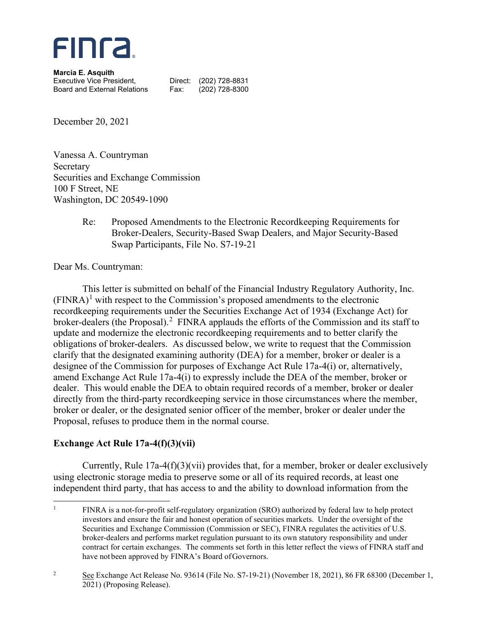

**Marcia E. Asquith** Executive Vice President, Direct: (202) 728-8831 Board and External Relations Fax: (202) 728-8300

December 20, 2021

Vanessa A. Countryman Secretary Securities and Exchange Commission 100 F Street, NE Washington, DC 20549-1090

> Re: Proposed Amendments to the Electronic Recordkeeping Requirements for Broker-Dealers, Security-Based Swap Dealers, and Major Security-Based Swap Participants, File No. S7-19-21

Dear Ms. Countryman:

This letter is submitted on behalf of the Financial Industry Regulatory Authority, Inc.  $(FINRA)^1$  $(FINRA)^1$  with respect to the Commission's proposed amendments to the electronic recordkeeping requirements under the Securities Exchange Act of 1934 (Exchange Act) for broker-dealers (the Proposal).<sup>[2](#page-0-1)</sup> FINRA applauds the efforts of the Commission and its staff to update and modernize the electronic recordkeeping requirements and to better clarify the obligations of broker-dealers. As discussed below, we write to request that the Commission clarify that the designated examining authority (DEA) for a member, broker or dealer is a designee of the Commission for purposes of Exchange Act Rule 17a-4(i) or, alternatively, amend Exchange Act Rule 17a-4(i) to expressly include the DEA of the member, broker or dealer. This would enable the DEA to obtain required records of a member, broker or dealer directly from the third-party recordkeeping service in those circumstances where the member, broker or dealer, or the designated senior officer of the member, broker or dealer under the Proposal, refuses to produce them in the normal course.

## **Exchange Act Rule 17a-4(f)(3)(vii)**

Currently, Rule 17a-4(f)(3)(vii) provides that, for a member, broker or dealer exclusively using electronic storage media to preserve some or all of its required records, at least one independent third party, that has access to and the ability to download information from the

<span id="page-0-0"></span><sup>&</sup>lt;sup>1</sup> FINRA is a not-for-profit self-regulatory organization (SRO) authorized by federal law to help protect investors and ensure the fair and honest operation of securities markets. Under the oversight of the Securities and Exchange Commission (Commission or SEC), FINRA regulates the activities of U.S. broker-dealers and performs market regulation pursuant to its own statutory responsibility and under contract for certain exchanges. The comments set forth in this letter reflect the views of FINRA staff and have not been approved by FINRA's Board of Governors.

<span id="page-0-1"></span><sup>&</sup>lt;sup>2</sup> See Exchange Act Release No. 93614 (File No. S7-19-21) (November 18, 2021), 86 FR 68300 (December 1, 2021) (Proposing Release).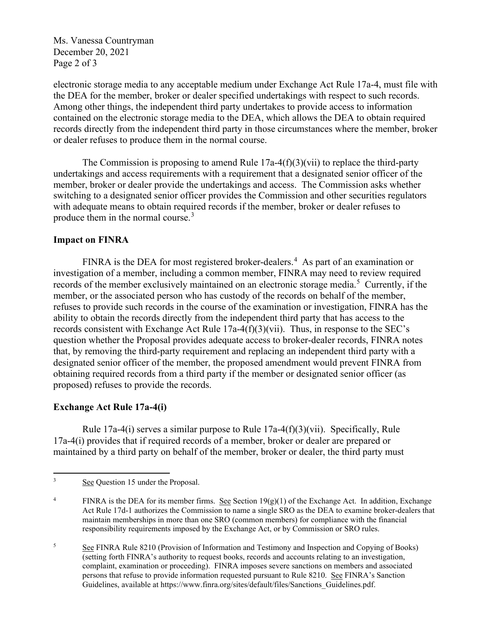Ms. Vanessa Countryman December 20, 2021 Page 2 of 3

electronic storage media to any acceptable medium under Exchange Act Rule 17a-4, must file with the DEA for the member, broker or dealer specified undertakings with respect to such records. Among other things, the independent third party undertakes to provide access to information contained on the electronic storage media to the DEA, which allows the DEA to obtain required records directly from the independent third party in those circumstances where the member, broker or dealer refuses to produce them in the normal course.

The Commission is proposing to amend Rule  $17a-4(f)(3)(vi)$  to replace the third-party undertakings and access requirements with a requirement that a designated senior officer of the member, broker or dealer provide the undertakings and access. The Commission asks whether switching to a designated senior officer provides the Commission and other securities regulators with adequate means to obtain required records if the member, broker or dealer refuses to produce them in the normal course.<sup>[3](#page-1-0)</sup>

## **Impact on FINRA**

FINRA is the DEA for most registered broker-dealers.<sup>[4](#page-1-1)</sup> As part of an examination or investigation of a member, including a common member, FINRA may need to review required records of the member exclusively maintained on an electronic storage media.<sup>[5](#page-1-2)</sup> Currently, if the member, or the associated person who has custody of the records on behalf of the member, refuses to provide such records in the course of the examination or investigation, FINRA has the ability to obtain the records directly from the independent third party that has access to the records consistent with Exchange Act Rule 17a-4(f)(3)(vii). Thus, in response to the SEC's question whether the Proposal provides adequate access to broker-dealer records, FINRA notes that, by removing the third-party requirement and replacing an independent third party with a designated senior officer of the member, the proposed amendment would prevent FINRA from obtaining required records from a third party if the member or designated senior officer (as proposed) refuses to provide the records.

## **Exchange Act Rule 17a-4(i)**

Rule 17a-4(i) serves a similar purpose to Rule  $17a-4(f)(3)(vii)$ . Specifically, Rule 17a-4(i) provides that if required records of a member, broker or dealer are prepared or maintained by a third party on behalf of the member, broker or dealer, the third party must

<span id="page-1-2"></span><sup>5</sup> See FINRA Rule 8210 (Provision of Information and Testimony and Inspection and Copying of Books) (setting forth FINRA's authority to request books, records and accounts relating to an investigation, complaint, examination or proceeding). FINRA imposes severe sanctions on members and associated persons that refuse to provide information requested pursuant to Rule 8210. See FINRA's Sanction Guidelines, available at https://www.finra.org/sites/default/files/Sanctions\_Guidelines.pdf.

<span id="page-1-0"></span><sup>&</sup>lt;sup>3</sup> See Question 15 under the Proposal.

<span id="page-1-1"></span><sup>&</sup>lt;sup>4</sup> FINRA is the DEA for its member firms. See Section  $19(g)(1)$  of the Exchange Act. In addition, Exchange Act Rule 17d-1 authorizes the Commission to name a single SRO as the DEA to examine broker-dealers that maintain memberships in more than one SRO (common members) for compliance with the financial responsibility requirements imposed by the Exchange Act, or by Commission or SRO rules.